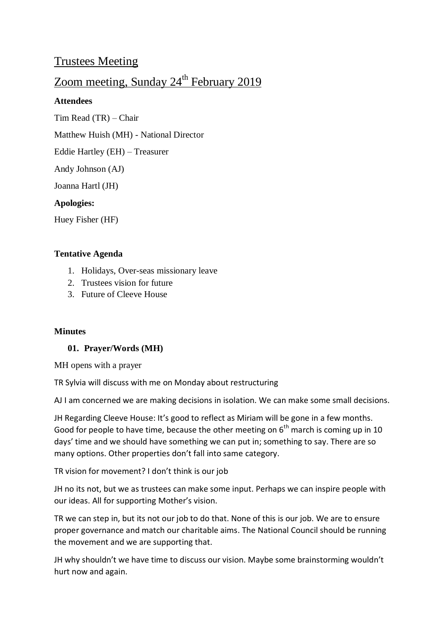# Trustees Meeting

# Zoom meeting, Sunday  $24^{th}$  February 2019

# **Attendees**

Tim Read (TR) – Chair

Matthew Huish (MH) - National Director

Eddie Hartley (EH) – Treasurer

Andy Johnson (AJ)

Joanna Hartl (JH)

# **Apologies:**

Huey Fisher (HF)

# **Tentative Agenda**

- 1. Holidays, Over-seas missionary leave
- 2. Trustees vision for future
- 3. Future of Cleeve House

#### **Minutes**

# **01. Prayer/Words (MH)**

MH opens with a prayer

TR Sylvia will discuss with me on Monday about restructuring

AJ I am concerned we are making decisions in isolation. We can make some small decisions.

JH Regarding Cleeve House: It's good to reflect as Miriam will be gone in a few months. Good for people to have time, because the other meeting on  $6<sup>th</sup>$  march is coming up in 10 days' time and we should have something we can put in; something to say. There are so many options. Other properties don't fall into same category.

TR vision for movement? I don't think is our job

JH no its not, but we as trustees can make some input. Perhaps we can inspire people with our ideas. All for supporting Mother's vision.

TR we can step in, but its not our job to do that. None of this is our job. We are to ensure proper governance and match our charitable aims. The National Council should be running the movement and we are supporting that.

JH why shouldn't we have time to discuss our vision. Maybe some brainstorming wouldn't hurt now and again.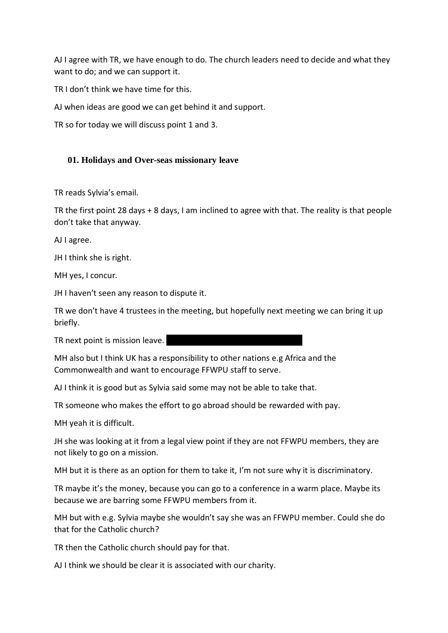AJ I agree with TR, we have enough to do. The church leaders need to decide and what they want to do; and we can support it.

TR I don't think we have time for this.

AJ when ideas are good we can get behind it and support.

TR so for today we will discuss point 1 and 3.

# **01. Holidays and Over-seas missionary leave**

TR reads Sylvia's email.

TR the first point 28 days + 8 days, I am inclined to agree with that. The reality is that people don't take that anyway.

AJ I agree.

JH I think she is right.

MH yes, I concur.

JH I haven't seen any reason to dispute it.

TR we don't have 4 trustees in the meeting, but hopefully next meeting we can bring it up briefly.

TR next point is mission leave.

MH also but I think UK has a responsibility to other nations e.g Africa and the Commonwealth and want to encourage FFWPU staff to serve.

AJ I think it is good but as Sylvia said some may not be able to take that.

TR someone who makes the effort to go abroad should be rewarded with pay.

MH yeah it is difficult.

JH she was looking at it from a legal view point if they are not FFWPU members, they are not likely to go on a mission.

MH but it is there as an option for them to take it, I'm not sure why it is discriminatory.

TR maybe it's the money, because you can go to a conference in a warm place. Maybe its because we are barring some FFWPU members from it.

MH but with e.g. Sylvia maybe she wouldn't say she was an FFWPU member. Could she do that for the Catholic church?

TR then the Catholic church should pay for that.

AJ I think we should be clear it is associated with our charity.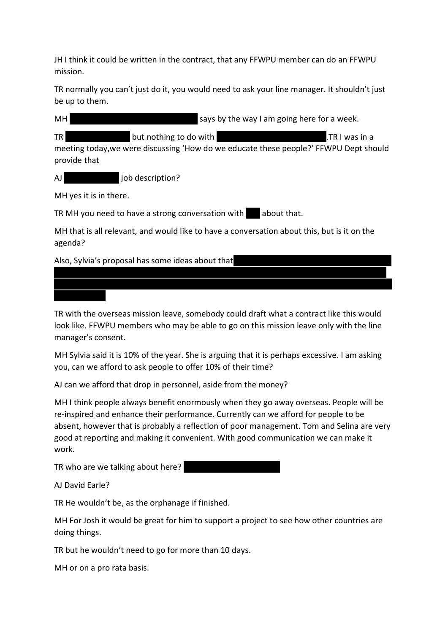JH I think it could be written in the contract, that any FFWPU member can do an FFWPU mission.

TR normally you can't just do it, you would need to ask your line manager. It shouldn't just be up to them.

| MH                                                                                                     | says by the way I am going here for a week.                                                                     |                |
|--------------------------------------------------------------------------------------------------------|-----------------------------------------------------------------------------------------------------------------|----------------|
| TR I<br>provide that                                                                                   | but nothing to do with<br>meeting today, we were discussing 'How do we educate these people?' FFWPU Dept should | .TR I was in a |
| AJ                                                                                                     | job description?                                                                                                |                |
| MH yes it is in there.                                                                                 |                                                                                                                 |                |
| TR MH you need to have a strong conversation with<br>about that.                                       |                                                                                                                 |                |
| MH that is all relevant, and would like to have a conversation about this, but is it on the<br>agenda? |                                                                                                                 |                |
| Also, Sylvia's proposal has some ideas about that                                                      |                                                                                                                 |                |

TR with the overseas mission leave, somebody could draft what a contract like this would look like. FFWPU members who may be able to go on this mission leave only with the line manager's consent.

me for a ride and has an elegant solution to the problem. I think it is best if he is promoted or moved sideways. We could still invite him to be a part of the Education team, but run in a

MH Sylvia said it is 10% of the year. She is arguing that it is perhaps excessive. I am asking you, can we afford to ask people to offer 10% of their time?

AJ can we afford that drop in personnel, aside from the money?

MH I think people always benefit enormously when they go away overseas. People will be re-inspired and enhance their performance. Currently can we afford for people to be absent, however that is probably a reflection of poor management. Tom and Selina are very good at reporting and making it convenient. With good communication we can make it work.

TR who are we talking about here?

AJ David Earle?

TR He wouldn't be, as the orphanage if finished.

MH For Josh it would be great for him to support a project to see how other countries are doing things.

TR but he wouldn't need to go for more than 10 days.

MH or on a pro rata basis.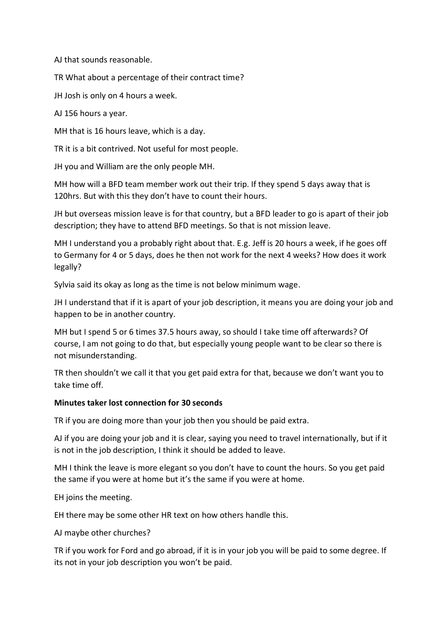AJ that sounds reasonable.

TR What about a percentage of their contract time?

JH Josh is only on 4 hours a week.

AJ 156 hours a year.

MH that is 16 hours leave, which is a day.

TR it is a bit contrived. Not useful for most people.

JH you and William are the only people MH.

MH how will a BFD team member work out their trip. If they spend 5 days away that is 120hrs. But with this they don't have to count their hours.

JH but overseas mission leave is for that country, but a BFD leader to go is apart of their job description; they have to attend BFD meetings. So that is not mission leave.

MH I understand you a probably right about that. E.g. Jeff is 20 hours a week, if he goes off to Germany for 4 or 5 days, does he then not work for the next 4 weeks? How does it work legally?

Sylvia said its okay as long as the time is not below minimum wage.

JH I understand that if it is apart of your job description, it means you are doing your job and happen to be in another country.

MH but I spend 5 or 6 times 37.5 hours away, so should I take time off afterwards? Of course, I am not going to do that, but especially young people want to be clear so there is not misunderstanding.

TR then shouldn't we call it that you get paid extra for that, because we don't want you to take time off.

#### **Minutes taker lost connection for 30 seconds**

TR if you are doing more than your job then you should be paid extra.

AJ if you are doing your job and it is clear, saying you need to travel internationally, but if it is not in the job description, I think it should be added to leave.

MH I think the leave is more elegant so you don't have to count the hours. So you get paid the same if you were at home but it's the same if you were at home.

EH joins the meeting.

EH there may be some other HR text on how others handle this.

AJ maybe other churches?

TR if you work for Ford and go abroad, if it is in your job you will be paid to some degree. If its not in your job description you won't be paid.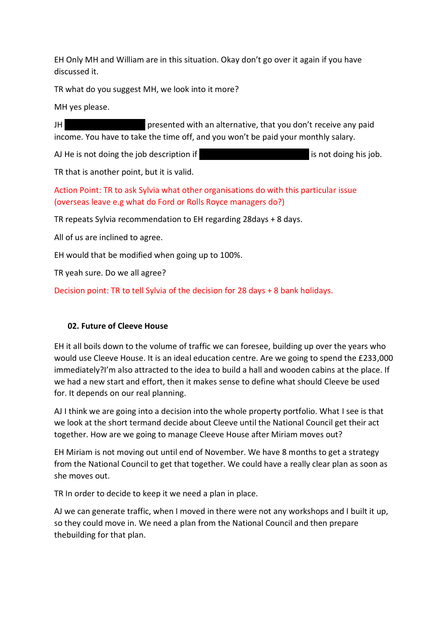EH Only MH and William are in this situation. Okay don't go over it again if you have discussed it.

TR what do you suggest MH, we look into it more?

MH yes please.

JH ying presented with an alternative, that you don't receive any paid income. You have to take the time off, and you won't be paid your monthly salary.

AJ He is not doing the job description if he is away 6 months are is not doing his job.

TR that is another point, but it is valid.

Action Point: TR to ask Sylvia what other organisations do with this particular issue (overseas leave e.g what do Ford or Rolls Royce managers do?)

TR repeats Sylvia recommendation to EH regarding 28days + 8 days.

All of us are inclined to agree.

EH would that be modified when going up to 100%.

TR yeah sure. Do we all agree?

Decision point: TR to tell Sylvia of the decision for 28 days + 8 bank holidays.

# **02. Future of Cleeve House**

EH it all boils down to the volume of traffic we can foresee, building up over the years who would use Cleeve House. It is an ideal education centre. Are we going to spend the £233,000 immediately?I'm also attracted to the idea to build a hall and wooden cabins at the place. If we had a new start and effort, then it makes sense to define what should Cleeve be used for. It depends on our real planning.

AJ I think we are going into a decision into the whole property portfolio. What I see is that we look at the short termand decide about Cleeve until the National Council get their act together. How are we going to manage Cleeve House after Miriam moves out?

EH Miriam is not moving out until end of November. We have 8 months to get a strategy from the National Council to get that together. We could have a really clear plan as soon as she moves out.

TR In order to decide to keep it we need a plan in place.

AJ we can generate traffic, when I moved in there were not any workshops and I built it up, so they could move in. We need a plan from the National Council and then prepare thebuilding for that plan.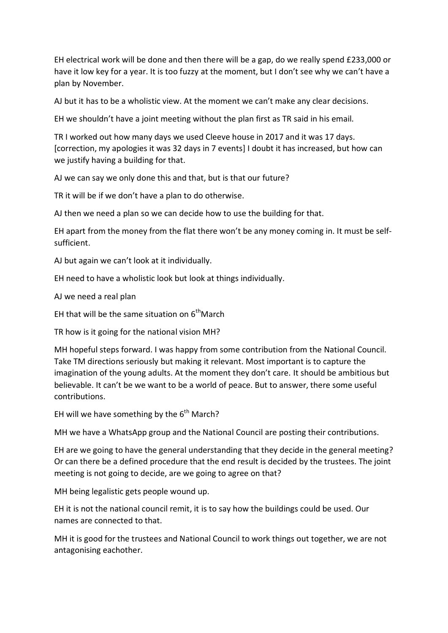EH electrical work will be done and then there will be a gap, do we really spend £233,000 or have it low key for a year. It is too fuzzy at the moment, but I don't see why we can't have a plan by November.

AJ but it has to be a wholistic view. At the moment we can't make any clear decisions.

EH we shouldn't have a joint meeting without the plan first as TR said in his email.

TR I worked out how many days we used Cleeve house in 2017 and it was 17 days. [correction, my apologies it was 32 days in 7 events] I doubt it has increased, but how can we justify having a building for that.

AJ we can say we only done this and that, but is that our future?

TR it will be if we don't have a plan to do otherwise.

AJ then we need a plan so we can decide how to use the building for that.

EH apart from the money from the flat there won't be any money coming in. It must be selfsufficient.

AJ but again we can't look at it individually.

EH need to have a wholistic look but look at things individually.

AJ we need a real plan

EH that will be the same situation on  $6<sup>th</sup>$ March

TR how is it going for the national vision MH?

MH hopeful steps forward. I was happy from some contribution from the National Council. Take TM directions seriously but making it relevant. Most important is to capture the imagination of the young adults. At the moment they don't care. It should be ambitious but believable. It can't be we want to be a world of peace. But to answer, there some useful contributions.

EH will we have something by the  $6<sup>th</sup>$  March?

MH we have a WhatsApp group and the National Council are posting their contributions.

EH are we going to have the general understanding that they decide in the general meeting? Or can there be a defined procedure that the end result is decided by the trustees. The joint meeting is not going to decide, are we going to agree on that?

MH being legalistic gets people wound up.

EH it is not the national council remit, it is to say how the buildings could be used. Our names are connected to that.

MH it is good for the trustees and National Council to work things out together, we are not antagonising eachother.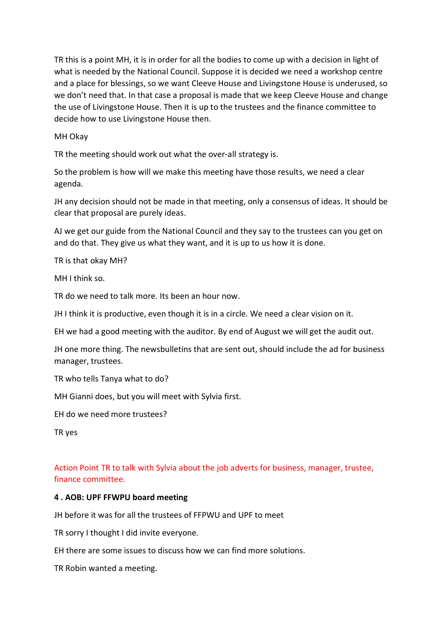TR this is a point MH, it is in order for all the bodies to come up with a decision in light of what is needed by the National Council. Suppose it is decided we need a workshop centre and a place for blessings, so we want Cleeve House and Livingstone House is underused, so we don't need that. In that case a proposal is made that we keep Cleeve House and change the use of Livingstone House. Then it is up to the trustees and the finance committee to decide how to use Livingstone House then.

MH Okay

TR the meeting should work out what the over-all strategy is.

So the problem is how will we make this meeting have those results, we need a clear agenda.

JH any decision should not be made in that meeting, only a consensus of ideas. It should be clear that proposal are purely ideas.

AJ we get our guide from the National Council and they say to the trustees can you get on and do that. They give us what they want, and it is up to us how it is done.

TR is that okay MH?

MH I think so.

TR do we need to talk more. Its been an hour now.

JH I think it is productive, even though it is in a circle. We need a clear vision on it.

EH we had a good meeting with the auditor. By end of August we will get the audit out.

JH one more thing. The newsbulletins that are sent out, should include the ad for business manager, trustees.

TR who tells Tanya what to do?

MH Gianni does, but you will meet with Sylvia first.

EH do we need more trustees?

TR yes

Action Point TR to talk with Sylvia about the job adverts for business, manager, trustee, finance committee.

#### **4 . AOB: UPF FFWPU board meeting**

JH before it was for all the trustees of FFPWU and UPF to meet

TR sorry I thought I did invite everyone.

EH there are some issues to discuss how we can find more solutions.

TR Robin wanted a meeting.